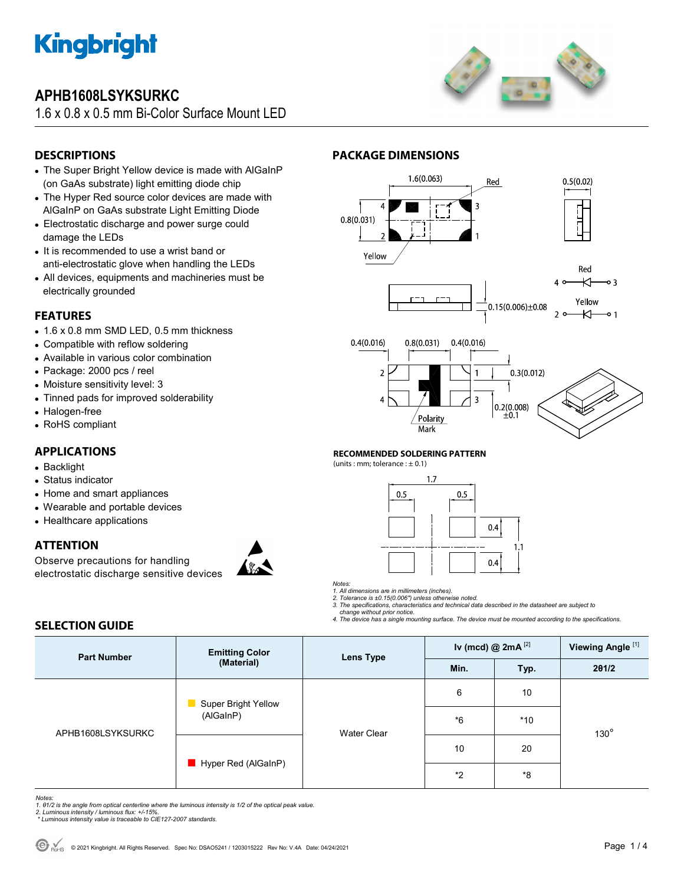

# **APHB1608LSYKSURKC**

1.6 x 0.8 x 0.5 mm Bi-Color Surface Mount LED



## **DESCRIPTIONS**

- The Super Bright Yellow device is made with AlGaInP (on GaAs substrate) light emitting diode chip
- The Hyper Red source color devices are made with AlGaInP on GaAs substrate Light Emitting Diode
- Electrostatic discharge and power surge could damage the LEDs
- It is recommended to use a wrist band or anti-electrostatic glove when handling the LEDs
- All devices, equipments and machineries must be electrically grounded

### **FEATURES**

- 1.6 x 0.8 mm SMD LED, 0.5 mm thickness
- Compatible with reflow soldering
- Available in various color combination
- Package: 2000 pcs / reel
- Moisture sensitivity level: 3
- Tinned pads for improved solderability
- Halogen-free
- RoHS compliant

## **APPLICATIONS**

- Backlight
- Status indicator
- Home and smart appliances
- Wearable and portable devices
- Healthcare applications

### **ATTENTION**

Observe precautions for handling electrostatic discharge sensitive devices



### **PACKAGE DIMENSIONS**





### **RECOMMENDED SOLDERING PATTERN**

(units : mm; tolerance :  $\pm$  0.1)



*Notes:* 

*1. All dimensions are in millimeters (inches). 2. Tolerance is ±0.15(0.006") unless otherwise noted.* 

*3. The specifications, characteristics and technical data described in the datasheet are subject to* 

 *change without prior notice. 4. The device has a single mounting surface. The device must be mounted according to the specifications.* 

## **SELECTION GUIDE**

| <b>Part Number</b> | <b>Emitting Color</b><br>(Material) | Lens Type          | Iv (mcd) $@2mA^{[2]}$ |       | Viewing Angle <sup>[1]</sup> |  |
|--------------------|-------------------------------------|--------------------|-----------------------|-------|------------------------------|--|
|                    |                                     |                    | Min.                  | Typ.  | 201/2                        |  |
| APHB1608LSYKSURKC  | Super Bright Yellow<br>(AlGaInP)    | <b>Water Clear</b> | 6                     | 10    |                              |  |
|                    |                                     |                    | $*6$                  | $*10$ | $130^\circ$                  |  |
|                    | Hyper Red (AlGaInP)                 |                    | 10                    | 20    |                              |  |
|                    |                                     |                    | $*_{2}$               | *8    |                              |  |

*Notes:* 

- *1. θ1/2 is the angle from optical centerline where the luminous intensity is 1/2 of the optical peak value.*
- *2. Luminous intensity / luminous flux: +/-15%. \* Luminous intensity value is traceable to CIE127-2007 standards.*
-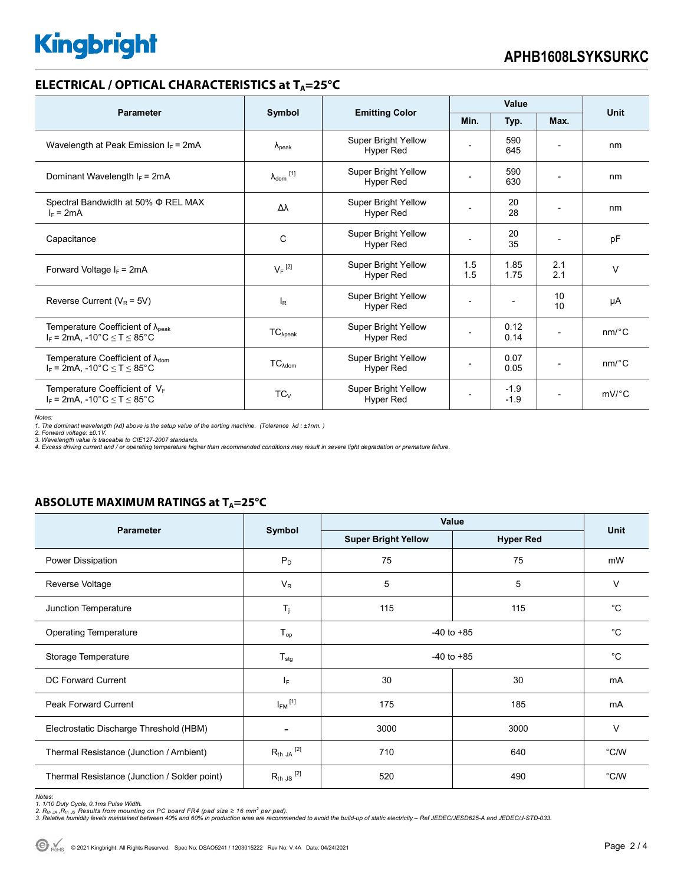## **ELECTRICAL / OPTICAL CHARACTERISTICS at TA=25°C**

| <b>Parameter</b>                                                                            | Symbol                     | <b>Emitting Color</b>                          | Value      |                  |            | <b>Unit</b>           |
|---------------------------------------------------------------------------------------------|----------------------------|------------------------------------------------|------------|------------------|------------|-----------------------|
|                                                                                             |                            |                                                | Min.       | Typ.             | Max.       |                       |
| Wavelength at Peak Emission $I_F$ = 2mA                                                     | $\lambda_{\rm peak}$       | <b>Super Bright Yellow</b><br><b>Hyper Red</b> |            | 590<br>645       |            | nm                    |
| Dominant Wavelength $I_F = 2mA$                                                             | $\lambda_{\text{dom}}$ [1] | Super Bright Yellow<br>Hyper Red               |            | 590<br>630       |            | nm                    |
| Spectral Bandwidth at 50% $\Phi$ REL MAX<br>$I_F = 2mA$                                     | Δλ                         | <b>Super Bright Yellow</b><br>Hyper Red        |            | 20<br>28         |            | nm                    |
| Capacitance                                                                                 | C                          | Super Bright Yellow<br>Hyper Red               |            | 20<br>35         |            | pF                    |
| Forward Voltage $I_F$ = 2mA                                                                 | $V_F$ <sup>[2]</sup>       | Super Bright Yellow<br>Hyper Red               | 1.5<br>1.5 | 1.85<br>1.75     | 2.1<br>2.1 | $\vee$                |
| Reverse Current ( $V_R$ = 5V)                                                               | $I_R$                      | <b>Super Bright Yellow</b><br><b>Hyper Red</b> |            |                  | 10<br>10   | μA                    |
| Temperature Coefficient of $\lambda_{peak}$<br>$I_F$ = 2mA, -10°C $\leq$ T $\leq$ 85°C      | $TC_{\lambda peak}$        | Super Bright Yellow<br><b>Hyper Red</b>        |            | 0.12<br>0.14     |            | $nm$ /°C              |
| Temperature Coefficient of $\lambda_{\text{dom}}$<br>$I_F$ = 2mA, -10°C $\leq T \leq 85$ °C | $TC_{\text{Adom}}$         | <b>Super Bright Yellow</b><br>Hyper Red        |            | 0.07<br>0.05     |            | $nm$ /°C              |
| Temperature Coefficient of $V_F$<br>$I_F$ = 2mA, -10°C $\leq T \leq 85$ °C                  | $TC_V$                     | <b>Super Bright Yellow</b><br><b>Hyper Red</b> |            | $-1.9$<br>$-1.9$ |            | $mV$ <sup>o</sup> $C$ |

Notes:<br>1. The dominant wavelength (λd) above is the setup value of the sorting machine. (Tolerance λd : ±1nm. )<br>2. Forward voltage: ±0.1V.<br>3. Wavelength value is traceable to CIE127-2007 standards.<br>4. Excess driving cur

### **ABSOLUTE MAXIMUM RATINGS at T<sub>A</sub>=25°C**

| <b>Parameter</b>                             |                          | Value                      | <b>Unit</b>      |               |  |
|----------------------------------------------|--------------------------|----------------------------|------------------|---------------|--|
|                                              | Symbol                   | <b>Super Bright Yellow</b> | <b>Hyper Red</b> |               |  |
| Power Dissipation                            | $P_D$                    | 75                         | 75               | mW            |  |
| Reverse Voltage                              | $V_{R}$                  | 5                          | 5                | $\vee$        |  |
| Junction Temperature                         | $T_j$                    | 115<br>115                 |                  | $^{\circ}C$   |  |
| <b>Operating Temperature</b>                 | $T_{op}$                 | $-40$ to $+85$             | $^{\circ}C$      |               |  |
| Storage Temperature                          | $T_{\text{stg}}$         | $-40$ to $+85$             | $^{\circ}C$      |               |  |
| DC Forward Current                           | IF.                      | 30                         | 30               | mA            |  |
| <b>Peak Forward Current</b>                  | $I_{FM}$ <sup>[1]</sup>  | 185<br>175                 |                  | mA            |  |
| Electrostatic Discharge Threshold (HBM)      | $\overline{\phantom{a}}$ | 3000                       | 3000             | $\vee$        |  |
| Thermal Resistance (Junction / Ambient)      | $R_{th}$ JA $^{[2]}$     | 710                        | 640              | $\degree$ C/W |  |
| Thermal Resistance (Junction / Solder point) | $R_{th}$ JS $^{[2]}$     | 520                        | 490              | $\degree$ C/W |  |

Notes:<br>1. 1/10 Duty Cycle, 0.1ms Pulse Width.<br>2. R<sub>th JA</sub> ,R<sub>th JS</sub> Results from mounting on PC board FR4 (pad size ≥ 16 mm<sup>2</sup> per pad).<br>3. Relative humidity levels maintained between 40% and 60% in production area are re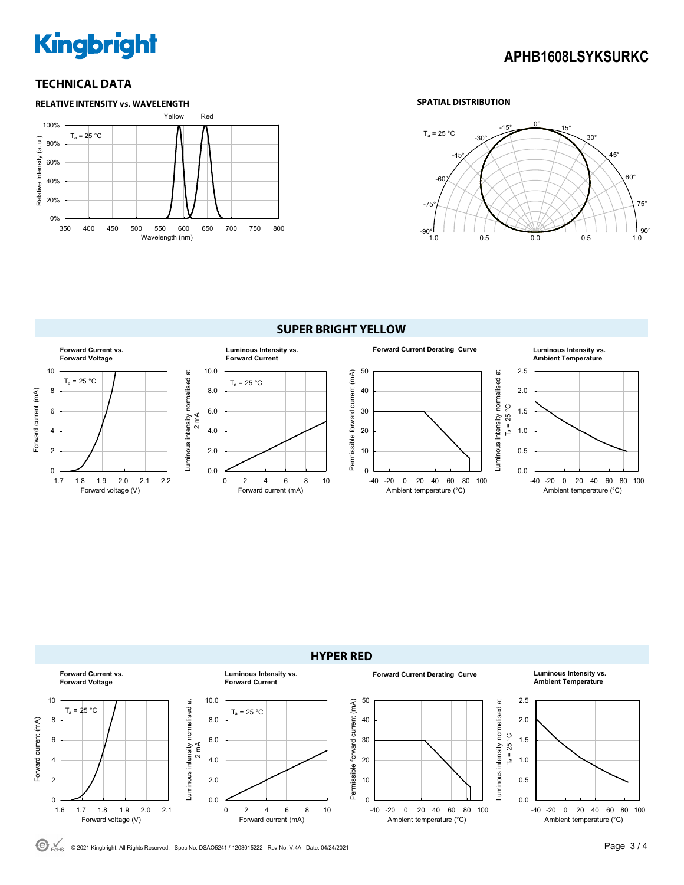# **Kingbright**

### **TECHNICAL DATA**



### **SPATIAL DISTRIBUTION**



**SUPER BRIGHT YELLOW** 





Luminous intensity normalised at

Luminous intensity normalised at



C RoHS © 2021 Kingbright. All Rights Reserved. Spec No: DSAO5241 / 1203015222 Rev No: V.4A Date: 04/24/2021 **Page 3 / 4**